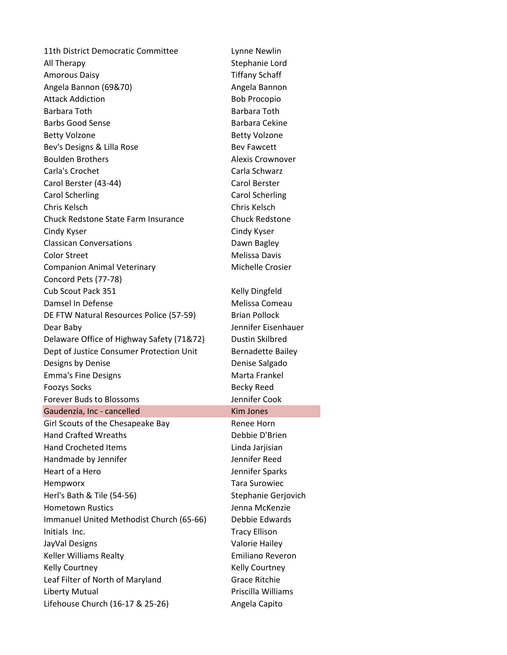11th District Democratic Committee Lynne Newlin All Therapy **Stephanie** Lord Amorous Daisy **Times Amorous** Daisy **Times Times Times Times Times Times Times Times Times Times Times Times Times Times Times Times Times Times Times Times Times Times Times** Angela Bannon (69&70) Angela Bannon Attack Addiction and Bob Procopio Barbara Toth Barbara Toth Barbs Good Sense Barbara Cekine Betty Volzone **Betty Volzone** Bev's Designs & Lilla Rose Bev Fawcett Boulden Brothers **Alexis Crownover** Carla's Crochet Carla Schwarz Carol Berster (43-44) Carol Berster Carol Scherling Carol Scherling Chris Kelsch Chris Kelsch Chuck Redstone State Farm Insurance Chuck Redstone Cindy Kyser Cindy Kyser Classican Conversations **Classican** Conversations Color Street **Melissa Davis Melissa Davis** Companion Animal Veterinary **Michelle Crosier** Michelle Crosier Concord Pets (77-78) Cub Scout Pack 351 Kelly Dingfeld Damsel In Defense New York 1999 Melissa Comeau DE FTW Natural Resources Police (57-59) Brian Pollock Dear Baby Jennifer Eisenhauer Delaware Office of Highway Safety (71&72) Dustin Skilbred Dept of Justice Consumer Protection Unit Bernadette Bailey Designs by Denise **Denise** Denise Salgado Emma's Fine Designs **Marta Frankel** Foozys Socks **Becky Reed** Forever Buds to Blossoms The Muslim Senator Cook Gaudenzia, Inc - cancelled Kim Jones Girl Scouts of the Chesapeake Bay Renee Horn Hand Crafted Wreaths **Debbie D'Allemanne Crafted Wreaths** Hand Crocheted Items **Linda Jarisian** Handmade by Jennifer Theorem and Tennifer Reed Heart of a Hero **Interpreterate Sparks** Jennifer Sparks Hempworx Tara Surowiec Herl's Bath & Tile (54-56) Stephanie Gerjovich Hometown Rustics **Access 12 Figure 2018** Jenna McKenzie Immanuel United Methodist Church (65-66) Debbie Edwards Initials Inc. **Tracy Ellison** JayVal Designs Valorie Hailey Keller Williams Realty **Emiliano** Reveron Kelly Courtney **Kelly Courtney** Leaf Filter of North of Maryland Grace Ritchie Liberty Mutual **Priscilla Williams** Lifehouse Church (16-17 & 25-26) Angela Capito